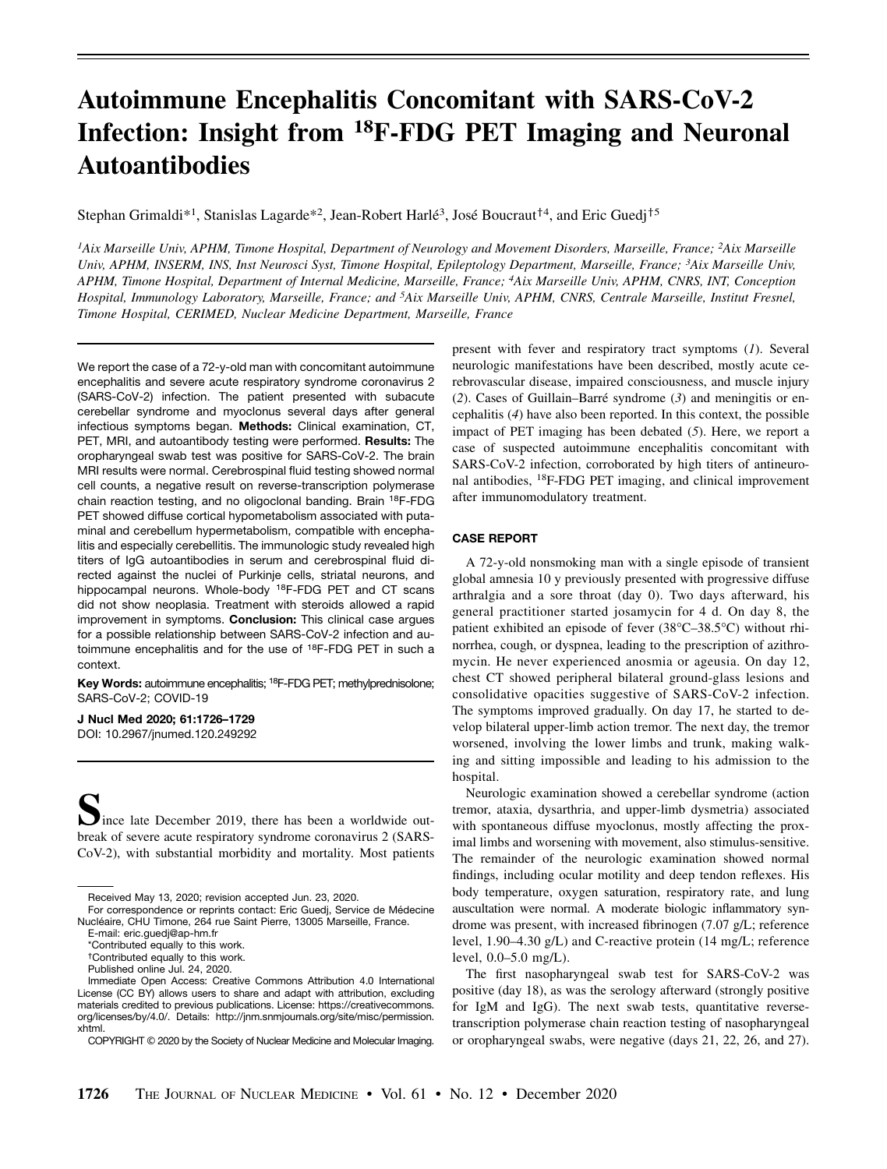# Autoimmune Encephalitis Concomitant with SARS-CoV-2 Infection: Insight from 18F-FDG PET Imaging and Neuronal Autoantibodies

Stephan Grimaldi\*<sup>1</sup>, Stanislas Lagarde\*<sup>2</sup>, Jean-Robert Harlé<sup>3</sup>, José Boucraut<sup>†4</sup>, and Eric Guedj<sup>†5</sup>

<sup>1</sup>Aix Marseille Univ, APHM, Timone Hospital, Department of Neurology and Movement Disorders, Marseille, France; <sup>2</sup>Aix Marseille Univ, APHM, INSERM, INS, Inst Neurosci Syst, Timone Hospital, Epileptology Department, Marseille, France; 3Aix Marseille Univ, APHM, Timone Hospital, Department of Internal Medicine, Marseille, France; 4Aix Marseille Univ, APHM, CNRS, INT, Conception Hospital, Immunology Laboratory, Marseille, France; and <sup>5</sup>Aix Marseille Univ, APHM, CNRS, Centrale Marseille, Institut Fresnel, Timone Hospital, CERIMED, Nuclear Medicine Department, Marseille, France

We report the case of a 72-y-old man with concomitant autoimmune encephalitis and severe acute respiratory syndrome coronavirus 2 (SARS-CoV-2) infection. The patient presented with subacute cerebellar syndrome and myoclonus several days after general infectious symptoms began. Methods: Clinical examination, CT, PET, MRI, and autoantibody testing were performed. Results: The oropharyngeal swab test was positive for SARS-CoV-2. The brain MRI results were normal. Cerebrospinal fluid testing showed normal cell counts, a negative result on reverse-transcription polymerase chain reaction testing, and no oligoclonal banding. Brain 18F-FDG PET showed diffuse cortical hypometabolism associated with putaminal and cerebellum hypermetabolism, compatible with encephalitis and especially cerebellitis. The immunologic study revealed high titers of IgG autoantibodies in serum and cerebrospinal fluid directed against the nuclei of Purkinje cells, striatal neurons, and hippocampal neurons. Whole-body <sup>18</sup>F-FDG PET and CT scans did not show neoplasia. Treatment with steroids allowed a rapid improvement in symptoms. Conclusion: This clinical case arques for a possible relationship between SARS-CoV-2 infection and autoimmune encephalitis and for the use of 18F-FDG PET in such a context.

Key Words: autoimmune encephalitis; <sup>18</sup>F-FDG PET; methylprednisolone; SARS-CoV-2; COVID-19

J Nucl Med 2020; 61:1726–1729 DOI: 10.2967/jnumed.120.249292

Ince late December 2019, there has been a worldwide outbreak of severe acute respiratory syndrome coronavirus 2 (SARS-CoV-2), with substantial morbidity and mortality. Most patients

present with fever and respiratory tract symptoms (1). Several neurologic manifestations have been described, mostly acute cerebrovascular disease, impaired consciousness, and muscle injury  $(2)$ . Cases of Guillain–Barré syndrome  $(3)$  and meningitis or encephalitis (4) have also been reported. In this context, the possible impact of PET imaging has been debated (5). Here, we report a case of suspected autoimmune encephalitis concomitant with SARS-CoV-2 infection, corroborated by high titers of antineuronal antibodies, 18F-FDG PET imaging, and clinical improvement after immunomodulatory treatment.

#### CASE REPORT

A 72-y-old nonsmoking man with a single episode of transient global amnesia 10 y previously presented with progressive diffuse arthralgia and a sore throat (day 0). Two days afterward, his general practitioner started josamycin for 4 d. On day 8, the patient exhibited an episode of fever (38°C-38.5°C) without rhinorrhea, cough, or dyspnea, leading to the prescription of azithromycin. He never experienced anosmia or ageusia. On day 12, chest CT showed peripheral bilateral ground-glass lesions and consolidative opacities suggestive of SARS-CoV-2 infection. The symptoms improved gradually. On day 17, he started to develop bilateral upper-limb action tremor. The next day, the tremor worsened, involving the lower limbs and trunk, making walking and sitting impossible and leading to his admission to the hospital.

Neurologic examination showed a cerebellar syndrome (action tremor, ataxia, dysarthria, and upper-limb dysmetria) associated with spontaneous diffuse myoclonus, mostly affecting the proximal limbs and worsening with movement, also stimulus-sensitive. The remainder of the neurologic examination showed normal findings, including ocular motility and deep tendon reflexes. His body temperature, oxygen saturation, respiratory rate, and lung auscultation were normal. A moderate biologic inflammatory syndrome was present, with increased fibrinogen (7.07 g/L; reference level, 1.90–4.30 g/L) and C-reactive protein (14 mg/L; reference level, 0.0–5.0 mg/L).

The first nasopharyngeal swab test for SARS-CoV-2 was positive (day 18), as was the serology afterward (strongly positive for IgM and IgG). The next swab tests, quantitative reversetranscription polymerase chain reaction testing of nasopharyngeal or oropharyngeal swabs, were negative (days 21, 22, 26, and 27).

Received May 13, 2020; revision accepted Jun. 23, 2020.

For correspondence or reprints contact: Eric Guedj, Service de Médecine Nucléaire, CHU Timone, 264 rue Saint Pierre, 13005 Marseille, France.

E-mail: [eric.guedj@ap-hm.fr](mailto:eric.guedj@ap-hm.fr)

<sup>\*</sup>Contributed equally to this work.

<sup>†</sup>Contributed equally to this work.

Published online Jul. 24, 2020.

Immediate Open Access: Creative Commons Attribution 4.0 International License (CC BY) allows users to share and adapt with attribution, excluding materials credited to previous publications. License: [https://creativecommons.](https://creativecommons.org/licenses/by/4.0/) [org/licenses/by/4.0/](https://creativecommons.org/licenses/by/4.0/). Details: [http://jnm.snmjournals.org/site/misc/permission.](http://jnm.snmjournals.org/site/misc/permission.xhtml) [xhtml.](http://jnm.snmjournals.org/site/misc/permission.xhtml)

COPYRIGHT © 2020 by the Society of Nuclear Medicine and Molecular Imaging.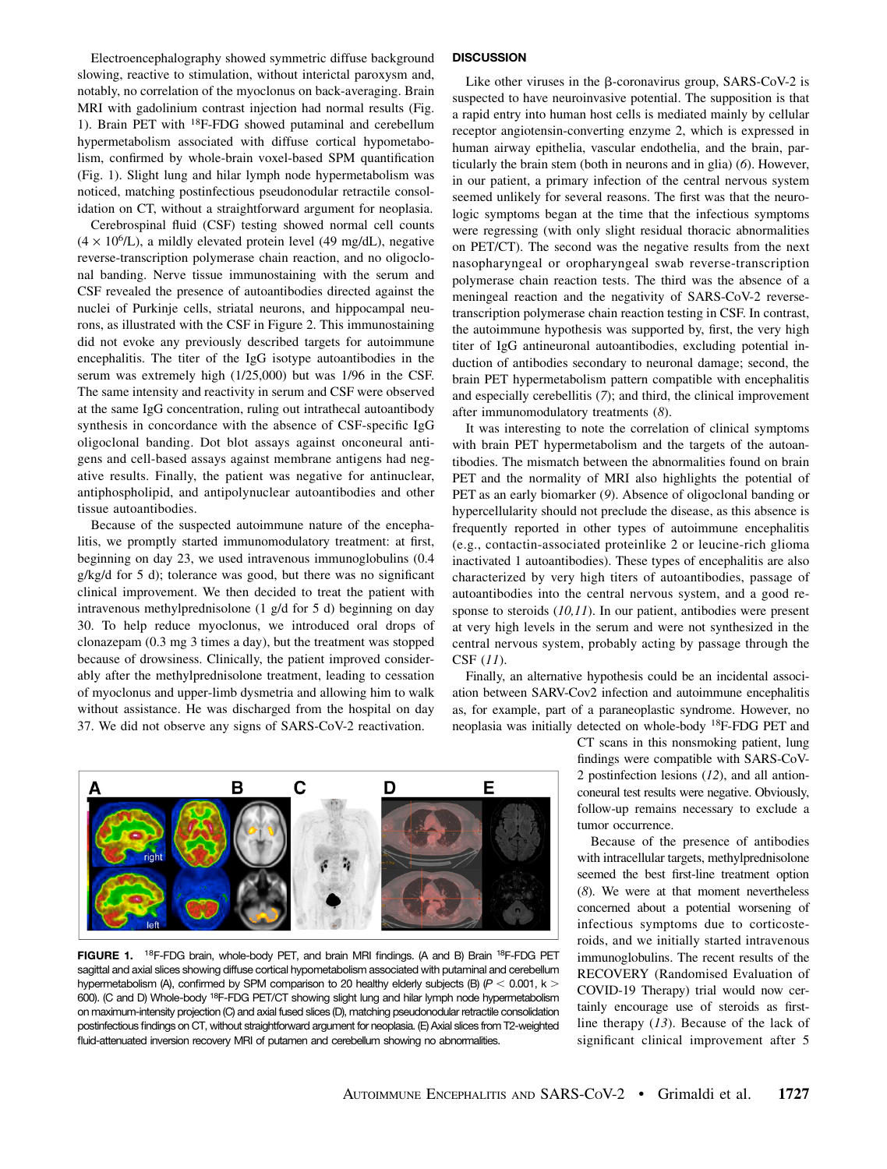Electroencephalography showed symmetric diffuse background slowing, reactive to stimulation, without interictal paroxysm and, notably, no correlation of the myoclonus on back-averaging. Brain MRI with gadolinium contrast injection had normal results (Fig. 1). Brain PET with 18F-FDG showed putaminal and cerebellum hypermetabolism associated with diffuse cortical hypometabolism, confirmed by whole-brain voxel-based SPM quantification (Fig. 1). Slight lung and hilar lymph node hypermetabolism was noticed, matching postinfectious pseudonodular retractile consolidation on CT, without a straightforward argument for neoplasia.

Cerebrospinal fluid (CSF) testing showed normal cell counts  $(4 \times 10^6$ /L), a mildly elevated protein level (49 mg/dL), negative reverse-transcription polymerase chain reaction, and no oligoclonal banding. Nerve tissue immunostaining with the serum and CSF revealed the presence of autoantibodies directed against the nuclei of Purkinje cells, striatal neurons, and hippocampal neurons, as illustrated with the CSF in Figure 2. This immunostaining did not evoke any previously described targets for autoimmune encephalitis. The titer of the IgG isotype autoantibodies in the serum was extremely high (1/25,000) but was 1/96 in the CSF. The same intensity and reactivity in serum and CSF were observed at the same IgG concentration, ruling out intrathecal autoantibody synthesis in concordance with the absence of CSF-specific IgG oligoclonal banding. Dot blot assays against onconeural antigens and cell-based assays against membrane antigens had negative results. Finally, the patient was negative for antinuclear, antiphospholipid, and antipolynuclear autoantibodies and other tissue autoantibodies.

Because of the suspected autoimmune nature of the encephalitis, we promptly started immunomodulatory treatment: at first, beginning on day 23, we used intravenous immunoglobulins (0.4 g/kg/d for 5 d); tolerance was good, but there was no significant clinical improvement. We then decided to treat the patient with intravenous methylprednisolone (1 g/d for 5 d) beginning on day 30. To help reduce myoclonus, we introduced oral drops of clonazepam (0.3 mg 3 times a day), but the treatment was stopped because of drowsiness. Clinically, the patient improved considerably after the methylprednisolone treatment, leading to cessation of myoclonus and upper-limb dysmetria and allowing him to walk without assistance. He was discharged from the hospital on day 37. We did not observe any signs of SARS-CoV-2 reactivation.

# **DISCUSSION**

Like other viruses in the  $\beta$ -coronavirus group, SARS-CoV-2 is suspected to have neuroinvasive potential. The supposition is that a rapid entry into human host cells is mediated mainly by cellular receptor angiotensin-converting enzyme 2, which is expressed in human airway epithelia, vascular endothelia, and the brain, particularly the brain stem (both in neurons and in glia) (6). However, in our patient, a primary infection of the central nervous system seemed unlikely for several reasons. The first was that the neurologic symptoms began at the time that the infectious symptoms were regressing (with only slight residual thoracic abnormalities on PET/CT). The second was the negative results from the next nasopharyngeal or oropharyngeal swab reverse-transcription polymerase chain reaction tests. The third was the absence of a meningeal reaction and the negativity of SARS-CoV-2 reversetranscription polymerase chain reaction testing in CSF. In contrast, the autoimmune hypothesis was supported by, first, the very high titer of IgG antineuronal autoantibodies, excluding potential induction of antibodies secondary to neuronal damage; second, the brain PET hypermetabolism pattern compatible with encephalitis and especially cerebellitis (7); and third, the clinical improvement after immunomodulatory treatments (8).

It was interesting to note the correlation of clinical symptoms with brain PET hypermetabolism and the targets of the autoantibodies. The mismatch between the abnormalities found on brain PET and the normality of MRI also highlights the potential of PET as an early biomarker (9). Absence of oligoclonal banding or hypercellularity should not preclude the disease, as this absence is frequently reported in other types of autoimmune encephalitis (e.g., contactin-associated proteinlike 2 or leucine-rich glioma inactivated 1 autoantibodies). These types of encephalitis are also characterized by very high titers of autoantibodies, passage of autoantibodies into the central nervous system, and a good response to steroids  $(10,11)$ . In our patient, antibodies were present at very high levels in the serum and were not synthesized in the central nervous system, probably acting by passage through the CSF (11).

Finally, an alternative hypothesis could be an incidental association between SARV-Cov2 infection and autoimmune encephalitis as, for example, part of a paraneoplastic syndrome. However, no neoplasia was initially detected on whole-body 18F-FDG PET and

> CT scans in this nonsmoking patient, lung findings were compatible with SARS-CoV-2 postinfection lesions (12), and all antionconeural test results were negative. Obviously, follow-up remains necessary to exclude a tumor occurrence.

> Because of the presence of antibodies with intracellular targets, methylprednisolone seemed the best first-line treatment option (8). We were at that moment nevertheless concerned about a potential worsening of infectious symptoms due to corticosteroids, and we initially started intravenous immunoglobulins. The recent results of the RECOVERY (Randomised Evaluation of COVID-19 Therapy) trial would now certainly encourage use of steroids as firstline therapy (13). Because of the lack of significant clinical improvement after 5



FIGURE 1. <sup>18</sup>F-FDG brain, whole-body PET, and brain MRI findings. (A and B) Brain <sup>18</sup>F-FDG PET sagittal and axial slices showing diffuse cortical hypometabolism associated with putaminal and cerebellum hypermetabolism (A), confirmed by SPM comparison to 20 healthy elderly subjects (B) ( $P < 0.001$ , k > 600). (C and D) Whole-body 18F-FDG PET/CT showing slight lung and hilar lymph node hypermetabolism on maximum-intensity projection (C) and axial fused slices (D), matching pseudonodular retractile consolidation postinfectious findings on CT, without straightforward argument for neoplasia. (E) Axial slices from T2-weighted fluid-attenuated inversion recovery MRI of putamen and cerebellum showing no abnormalities.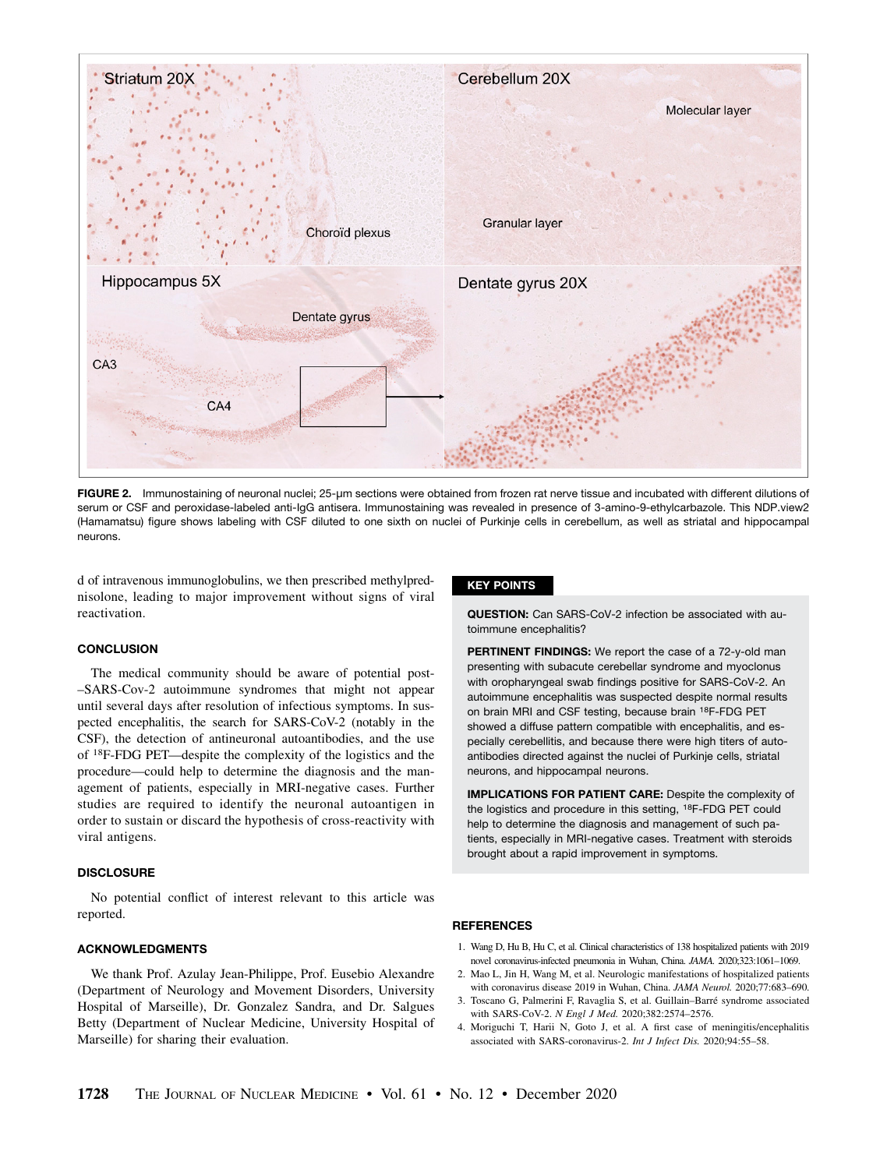

FIGURE 2. Immunostaining of neuronal nuclei; 25-µm sections were obtained from frozen rat nerve tissue and incubated with different dilutions of serum or CSF and peroxidase-labeled anti-IgG antisera. Immunostaining was revealed in presence of 3-amino-9-ethylcarbazole. This NDP.view2 (Hamamatsu) figure shows labeling with CSF diluted to one sixth on nuclei of Purkinje cells in cerebellum, as well as striatal and hippocampal neurons.

d of intravenous immunoglobulins, we then prescribed methylprednisolone, leading to major improvement without signs of viral reactivation.

# **CONCLUSION**

The medical community should be aware of potential post- –SARS-Cov-2 autoimmune syndromes that might not appear until several days after resolution of infectious symptoms. In suspected encephalitis, the search for SARS-CoV-2 (notably in the CSF), the detection of antineuronal autoantibodies, and the use of 18F-FDG PET—despite the complexity of the logistics and the procedure—could help to determine the diagnosis and the management of patients, especially in MRI-negative cases. Further studies are required to identify the neuronal autoantigen in order to sustain or discard the hypothesis of cross-reactivity with viral antigens.

#### **DISCLOSURE**

No potential conflict of interest relevant to this article was reported.

### ACKNOWLEDGMENTS

We thank Prof. Azulay Jean-Philippe, Prof. Eusebio Alexandre (Department of Neurology and Movement Disorders, University Hospital of Marseille), Dr. Gonzalez Sandra, and Dr. Salgues Betty (Department of Nuclear Medicine, University Hospital of Marseille) for sharing their evaluation.

## KEY POINTS

QUESTION: Can SARS-CoV-2 infection be associated with autoimmune encephalitis?

PERTINENT FINDINGS: We report the case of a 72-y-old man presenting with subacute cerebellar syndrome and myoclonus with oropharyngeal swab findings positive for SARS-CoV-2. An autoimmune encephalitis was suspected despite normal results on brain MRI and CSF testing, because brain 18F-FDG PET showed a diffuse pattern compatible with encephalitis, and especially cerebellitis, and because there were high titers of autoantibodies directed against the nuclei of Purkinje cells, striatal neurons, and hippocampal neurons.

IMPLICATIONS FOR PATIENT CARE: Despite the complexity of the logistics and procedure in this setting, 18F-FDG PET could help to determine the diagnosis and management of such patients, especially in MRI-negative cases. Treatment with steroids brought about a rapid improvement in symptoms.

## **REFERENCES**

- 1. Wang D, Hu B, Hu C, et al. Clinical characteristics of 138 hospitalized patients with 2019 novel coronavirus-infected pneumonia in Wuhan, China. JAMA. 2020;323:1061–1069.
- 2. Mao L, Jin H, Wang M, et al. Neurologic manifestations of hospitalized patients with coronavirus disease 2019 in Wuhan, China. JAMA Neurol. 2020;77:683–690.
- 3. Toscano G, Palmerini F, Ravaglia S, et al. Guillain–Barré syndrome associated with SARS-CoV-2. N Engl J Med. 2020;382:2574–2576.
- 4. Moriguchi T, Harii N, Goto J, et al. A first case of meningitis/encephalitis associated with SARS-coronavirus-2. Int J Infect Dis. 2020;94:55–58.